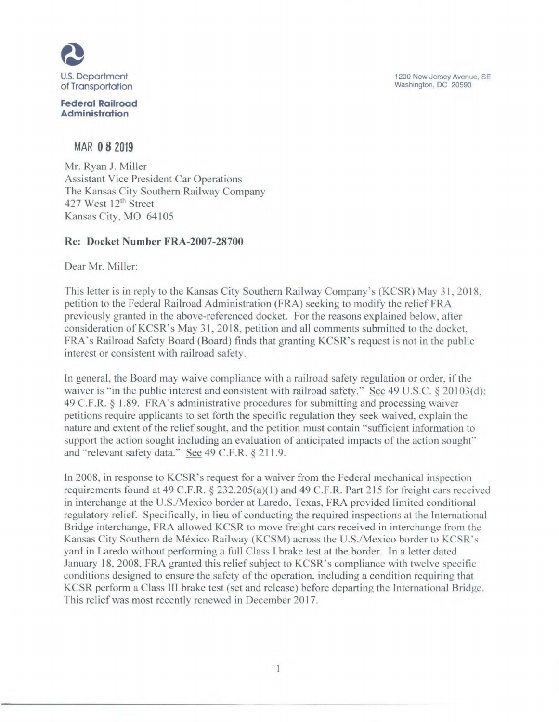1200 New Jersey Avenue. SE Washington. DC 20590



**Federal Railroad Administration** 

MAR 0 8 2019

Mr. Ryan J. Miller Assistant Vice President Car Operations The Kansas City Southern Railway Company 427 West 12<sup>th</sup> Street Kansas City, MO 64105

## **Re: Docket Number FRA-2007-28700**

Dear Mr. Miller:

This letter is in reply to the Kansas City Southern Railway Company's (KCSR) May 31, 2018, petition to the Federal Railroad Administration (FRA) seeking to modify the relief FRA previously granted in the above-referenced docket. For the reasons explained below, after consideration of KCSR's May 31, 2018, petition and all comments submitted to the docket, FRA"s Railroad Safety Board (Board) finds that granting KCSR's request is not in the public interest or consistent with railroad safety.

In general, the Board may waive compliance with a railroad safety regulation or order, if the waiver is "in the public interest and consistent with railroad safety." See 49 U.S.C. § 20103(d); 49 C.F.R. § 1.89. FRA's administrative procedures for submitting and processing waiver petitions require applicants to set forth the specific regulation they seek waived, explain the nature and extent of the relief sought, and the petition must contain "sufficient information to support the action sought including an evaluation of anticipated impacts of the action sought" and "relevant safety data." See 49 C.F.R. § 211.9.

In 2008, in response to KCSR's request for a waiver from the Federal mechanical inspection requirements found at 49 C.F.R. § 232.205(a)(1) and 49 C.F.R. Part 215 for freight cars received in interchange at the U.S./Mexico border at Laredo, Texas, FRA provided lirnited conditional regulatory relief. Specifically, in lieu of conducting the required inspections at the International Bridge interchange, FRA allowed KCSR to move freight cars received in interchange from the Kansas City Southern de México Railway (KCSM) across the U.S./Mexico border to KCSR's yard in Laredo without performing a full Class I brake test at the border. In a letter dated January 18, 2008, FRA granted this relief subject to KCSR's compliance with twelve specific conditions designed to ensure the safety of the operation, including a condition requiring that KCSR perform a Class III brake test (set and release) before departing the International Bridge. This relief was most recently renewed in December 2017.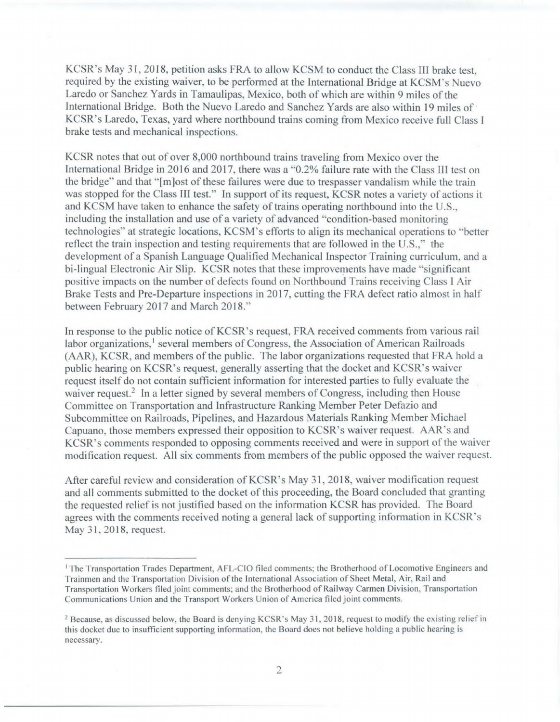KCSR's May 31, 2018, petition asks FRA to allow KCSM to conduct the Class III brake test, required by the existing waiver, to be performed at the International Bridge at KCSM's Nuevo Laredo or Sanchez Yards in Tamaulipas, Mexico, both of which are within 9 miles of the International Bridge. Both the Nuevo Laredo and Sanchez Yards are also within 19 miles of KCSR's Laredo, Texas, yard where northbound trains coming from Mexico receive full Class I brake tests and mechanical inspections.

KCSR notes that out of over 8,000 northbound trains traveling from Mexico over the International Bridge in 2016 and 2017, there was a "0.2% failure rate with the Class III test on the bridge" and that "[m]ost of these failures were due to trespasser vandalism while the train was stopped for the Class III test." In support of its request, KCSR notes a variety of actions it and KCSM have taken to enhance the safety of trains operating northbound into the U.S., including the installation and use of a variety of advanced "condition-based monitoring technologies" at strategic locations, KCSM's efforts to align its mechanical operations to "better reflect the train inspection and testing requirements that are followed in the U.S.," the development of a Spanish Language Qualified Mechanical Inspector Training curriculum, and a bi-lingual Electronic Air Slip. KCSR notes that these improvements have made "significant positive impacts on the number of defects found on Northbound Trains receiving Class I Air Brake Tests and Pre-Departure inspections in 2017, cutting the FRA defect ratio almost in half between February 2017 and March 2018."

In response to the public notice of KCSR's request, FRA received comments from various rail labor organizations,<sup>1</sup> several members of Congress, the Association of American Railroads (AAR), KCSR, and members of the public. The labor organizations requested that FRA hold a public hearing on KCSR's request, generally asserting that the docket and KCSR's waiver request itself do not contain sufficient information for interested parties to fully evaluate the waiver request.<sup>2</sup> In a letter signed by several members of Congress, including then House Committee on Transportation and Infrastructure Ranking Member Peter Defazio and Subcommittee on Railroads, Pipelines, and Hazardous Materials Ranking Member Michael Capuano, those members expressed their opposition to KCSR's waiver request. AAR's and KCSR's comments responded to opposing comments received and were in support of the waiver modification request. All six comments from members of the public opposed the waiver request.

After careful review and consideration of KCSR's May 31, 2018, waiver modification request and all comments submitted to the docket of this proceeding, the Board concluded that granting the requested relief is not justified based on the information KCSR has provided. The Board agrees with the comments received noting a general lack of supporting information in KCSR's May 31, 2018, request.

I The Transportation Trades Department, AFL-C10 filed comments; the Brotherhood of Locomotive Engineers and Trainmen and the Transportation Division of the International Association of Sheet Metal, Air, Rail and Transportation Workers filed joint comments; and the Brotherhood of Railway Carmen Division, Transportation Communications Union and the Transport Workers Union of America filed joint comments.

<sup>&</sup>lt;sup>2</sup> Because, as discussed below, the Board is denying KCSR's May 31, 2018, request to modify the existing relief in this docket due to insufficient supporting information, the Board does not believe holding a public hearing is necessary.